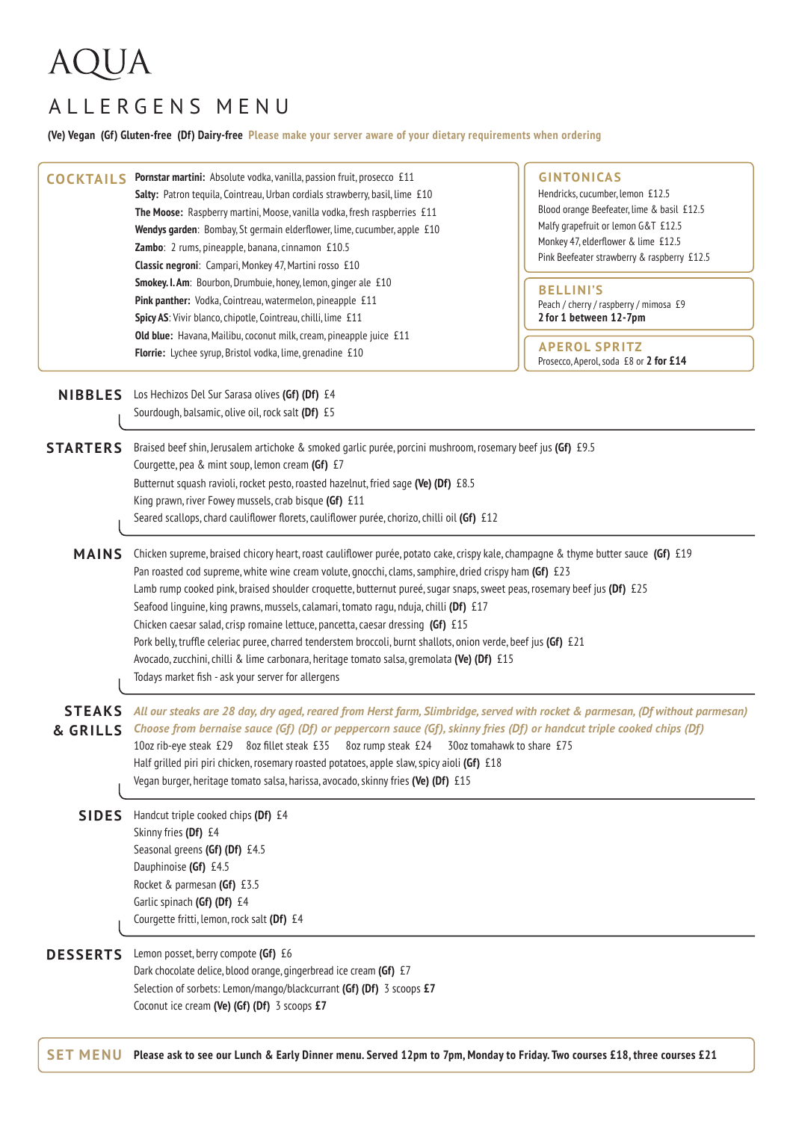## **AQUA**

## ALLERGENS MENU

**(Ve) Vegan (Gf) Gluten-free (Df) Dairy-free Please make your server aware of your dietary requirements when ordering**

| <b>COCKTAILS</b>          | Pornstar martini: Absolute vodka, vanilla, passion fruit, prosecco £11<br>Salty: Patron tequila, Cointreau, Urban cordials strawberry, basil, lime £10<br>The Moose: Raspberry martini, Moose, vanilla vodka, fresh raspberries £11<br>Wendys garden: Bombay, St germain elderflower, lime, cucumber, apple £10<br>Zambo: 2 rums, pineapple, banana, cinnamon £10.5<br>Classic negroni: Campari, Monkey 47, Martini rosso £10<br>Smokey. I. Am: Bourbon, Drumbuie, honey, lemon, ginger ale £10                                                                                                                                                                                                                                                                                                                           | <b>GINTONICAS</b><br>Hendricks, cucumber, lemon £12.5<br>Blood orange Beefeater, lime & basil £12.5<br>Malfy grapefruit or lemon G&T £12.5<br>Monkey 47, elderflower & lime £12.5<br>Pink Beefeater strawberry & raspberry £12.5 |  |
|---------------------------|---------------------------------------------------------------------------------------------------------------------------------------------------------------------------------------------------------------------------------------------------------------------------------------------------------------------------------------------------------------------------------------------------------------------------------------------------------------------------------------------------------------------------------------------------------------------------------------------------------------------------------------------------------------------------------------------------------------------------------------------------------------------------------------------------------------------------|----------------------------------------------------------------------------------------------------------------------------------------------------------------------------------------------------------------------------------|--|
|                           | Pink panther: Vodka, Cointreau, watermelon, pineapple £11<br>Spicy AS: Vivir blanco, chipotle, Cointreau, chilli, lime £11<br>Old blue: Havana, Mailibu, coconut milk, cream, pineapple juice £11<br>Florrie: Lychee syrup, Bristol vodka, lime, grenadine £10                                                                                                                                                                                                                                                                                                                                                                                                                                                                                                                                                            | <b>BELLINI'S</b><br>Peach / cherry / raspberry / mimosa £9<br>2 for 1 between 12-7pm<br><b>APEROL SPRITZ</b><br>Prosecco, Aperol, soda £8 or 2 for £14                                                                           |  |
| <b>NIBBLES</b>            | Los Hechizos Del Sur Sarasa olives (Gf) (Df) £4<br>Sourdough, balsamic, olive oil, rock salt (Df) £5                                                                                                                                                                                                                                                                                                                                                                                                                                                                                                                                                                                                                                                                                                                      |                                                                                                                                                                                                                                  |  |
| <b>STARTERS</b>           | Braised beef shin, Jerusalem artichoke & smoked garlic purée, porcini mushroom, rosemary beef jus (Gf) £9.5<br>Courgette, pea & mint soup, lemon cream (Gf) £7<br>Butternut squash ravioli, rocket pesto, roasted hazelnut, fried sage (Ve) (Df) £8.5<br>King prawn, river Fowey mussels, crab bisque (Gf) £11<br>Seared scallops, chard cauliflower florets, cauliflower purée, chorizo, chilli oil (Gf) £12                                                                                                                                                                                                                                                                                                                                                                                                             |                                                                                                                                                                                                                                  |  |
| <b>MAINS</b>              | Chicken supreme, braised chicory heart, roast cauliflower purée, potato cake, crispy kale, champagne & thyme butter sauce (Gf) £19<br>Pan roasted cod supreme, white wine cream volute, gnocchi, clams, samphire, dried crispy ham (Gf) £23<br>Lamb rump cooked pink, braised shoulder croquette, butternut pureé, sugar snaps, sweet peas, rosemary beef jus (Df) £25<br>Seafood linguine, king prawns, mussels, calamari, tomato ragu, nduja, chilli (Df) £17<br>Chicken caesar salad, crisp romaine lettuce, pancetta, caesar dressing (Gf) £15<br>Pork belly, truffle celeriac puree, charred tenderstem broccoli, burnt shallots, onion verde, beef jus (Gf) £21<br>Avocado, zucchini, chilli & lime carbonara, heritage tomato salsa, gremolata (Ve) (Df) £15<br>Todays market fish - ask your server for allergens |                                                                                                                                                                                                                                  |  |
| <b>STEAKS</b><br>& GRILLS | All our steaks are 28 day, dry aged, reared from Herst farm, Slimbridge, served with rocket & parmesan, (Df without parmesan)<br>Choose from bernaise sauce (Gf) (Df) or peppercorn sauce (Gf), skinny fries (Df) or handcut triple cooked chips (Df)<br>10oz rib-eye steak £29 8oz fillet steak £35 8oz rump steak £24 30oz tomahawk to share £75<br>Half grilled piri piri chicken, rosemary roasted potatoes, apple slaw, spicy aioli (Gf) £18<br>Vegan burger, heritage tomato salsa, harissa, avocado, skinny fries (Ve) (Df) £15                                                                                                                                                                                                                                                                                    |                                                                                                                                                                                                                                  |  |
| <b>SIDES</b>              | Handcut triple cooked chips (Df) £4<br>Skinny fries (Df) £4<br>Seasonal greens (Gf) (Df) £4.5<br>Dauphinoise (Gf) £4.5<br>Rocket & parmesan (Gf) £3.5<br>Garlic spinach (Gf) (Df) £4<br>Courgette fritti, lemon, rock salt (Df) £4                                                                                                                                                                                                                                                                                                                                                                                                                                                                                                                                                                                        |                                                                                                                                                                                                                                  |  |
| <b>DESSERTS</b>           | Lemon posset, berry compote (Gf) £6<br>Dark chocolate delice, blood orange, gingerbread ice cream (Gf) £7<br>Selection of sorbets: Lemon/mango/blackcurrant (Gf) (Df) 3 scoops £7<br>Coconut ice cream (Ve) (Gf) (Df) 3 scoops £7                                                                                                                                                                                                                                                                                                                                                                                                                                                                                                                                                                                         |                                                                                                                                                                                                                                  |  |